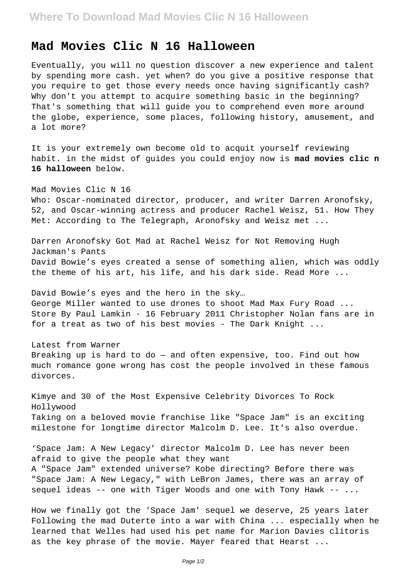## **Mad Movies Clic N 16 Halloween**

Eventually, you will no question discover a new experience and talent by spending more cash. yet when? do you give a positive response that you require to get those every needs once having significantly cash? Why don't you attempt to acquire something basic in the beginning? That's something that will guide you to comprehend even more around the globe, experience, some places, following history, amusement, and a lot more?

It is your extremely own become old to acquit yourself reviewing habit. in the midst of guides you could enjoy now is **mad movies clic n 16 halloween** below.

Mad Movies Clic N 16 Who: Oscar-nominated director, producer, and writer Darren Aronofsky, 52, and Oscar-winning actress and producer Rachel Weisz, 51. How They Met: According to The Telegraph, Aronofsky and Weisz met ...

Darren Aronofsky Got Mad at Rachel Weisz for Not Removing Hugh Jackman's Pants David Bowie's eyes created a sense of something alien, which was oddly the theme of his art, his life, and his dark side. Read More ...

David Bowie's eyes and the hero in the sky… George Miller wanted to use drones to shoot Mad Max Fury Road ... Store By Paul Lamkin · 16 February 2011 Christopher Nolan fans are in for a treat as two of his best movies - The Dark Knight ...

Latest from Warner Breaking up is hard to do  $-$  and often expensive, too. Find out how much romance gone wrong has cost the people involved in these famous divorces.

Kimye and 30 of the Most Expensive Celebrity Divorces To Rock Hollywood Taking on a beloved movie franchise like "Space Jam" is an exciting milestone for longtime director Malcolm D. Lee. It's also overdue.

'Space Jam: A New Legacy' director Malcolm D. Lee has never been afraid to give the people what they want A "Space Jam" extended universe? Kobe directing? Before there was "Space Jam: A New Legacy," with LeBron James, there was an array of sequel ideas -- one with Tiger Woods and one with Tony Hawk -- ...

How we finally got the 'Space Jam' sequel we deserve, 25 years later Following the mad Duterte into a war with China ... especially when he learned that Welles had used his pet name for Marion Davies clitoris as the key phrase of the movie. Mayer feared that Hearst ...